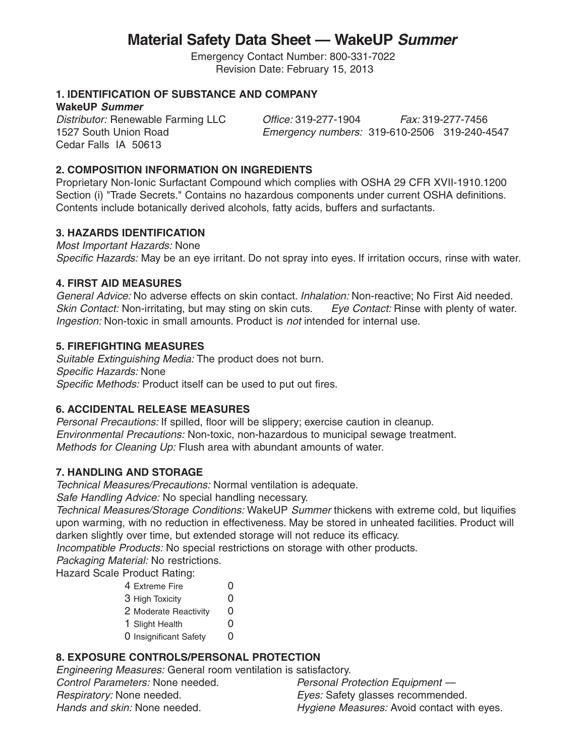# **Material Safety Data Sheet — WakeUP Summer**

Emergency Contact Number: 800-331-7022 Revision Date: February 15, 2013

### **1. IDENTIFICATION OF SUBSTANCE AND COMPANY**

**WakeUP Summer**

Cedar Falls IA 50613

Distributor: Renewable Farming LLC Office: 319-277-1904 Fax: 319-277-7456 1527 South Union Road Emergency numbers: 319-610-2506 319-240-4547

### **2. COMPOSITION INFORMATION ON INGREDIENTS**

Proprietary Non-Ionic Surfactant Compound which complies with OSHA 29 CFR XVII-1910.1200 Section (i) "Trade Secrets." Contains no hazardous components under current OSHA definitions. Contents include botanically derived alcohols, fatty acids, buffers and surfactants.

## **3. HAZARDS IDENTIFICATION**

Most Important Hazards: None Specific Hazards: May be an eye irritant. Do not spray into eyes. If irritation occurs, rinse with water.

## **4. FIRST AID MEASURES**

General Advice: No adverse effects on skin contact. Inhalation: Non-reactive; No First Aid needed. Skin Contact: Non-irritating, but may sting on skin cuts. Eye Contact: Rinse with plenty of water. Ingestion: Non-toxic in small amounts. Product is not intended for internal use.

#### **5. FIREFIGHTING MEASURES**

Suitable Extinguishing Media: The product does not burn. Specific Hazards: None Specific Methods: Product itself can be used to put out fires.

## **6. ACCIDENTAL RELEASE MEASURES**

Personal Precautions: If spilled, floor will be slippery; exercise caution in cleanup. Environmental Precautions: Non-toxic, non-hazardous to municipal sewage treatment. Methods for Cleaning Up: Flush area with abundant amounts of water.

## **7. HANDLING AND STORAGE**

Technical Measures/Precautions: Normal ventilation is adequate.

Safe Handling Advice: No special handling necessary.

Technical Measures/Storage Conditions: WakeUP Summer thickens with extreme cold, but liquifies upon warming, with no reduction in effectiveness. May be stored in unheated facilities. Product will darken slightly over time, but extended storage will not reduce its efficacy.

Incompatible Products: No special restrictions on storage with other products.

Packaging Material: No restrictions.

Hazard Scale Product Rating:

4 Extreme Fire 0 3 High Toxicity 0 2 Moderate Reactivity 0 1 Slight Health 0 0 Insignificant Safety 0

# **8. EXPOSURE CONTROLS/PERSONAL PROTECTION**

Engineering Measures: General room ventilation is satisfactory. Control Parameters: None needed. Personal Protection Equipment -Respiratory: None needed. The state of the series of the series of the series of the series Respiratory: None Hands and skin: None needed. Hygiene Measures: Avoid contact with eyes.